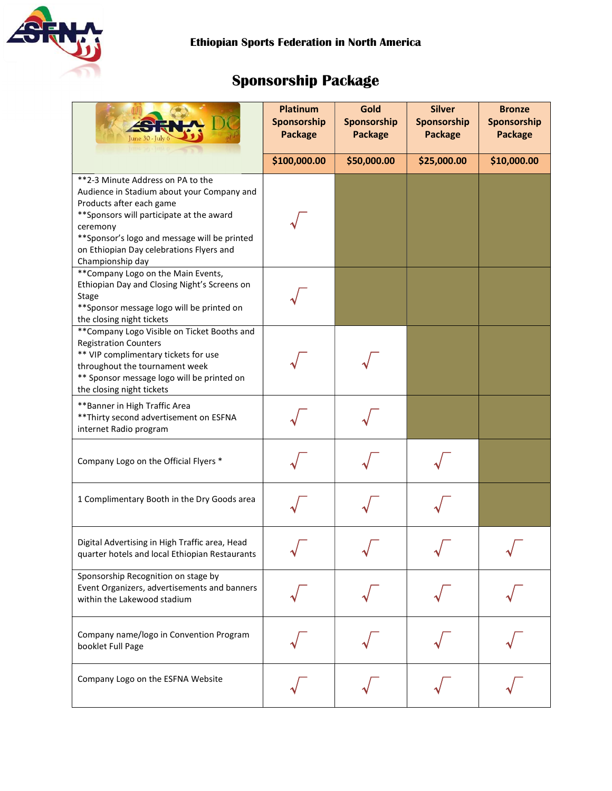

# Sponsorship Package

|                                                                                                                                                                                                                                                                                       | Platinum<br>Sponsorship<br><b>Package</b> | Gold<br>Sponsorship<br><b>Package</b> | <b>Silver</b><br>Sponsorship<br><b>Package</b> | <b>Bronze</b><br>Sponsorship<br><b>Package</b> |
|---------------------------------------------------------------------------------------------------------------------------------------------------------------------------------------------------------------------------------------------------------------------------------------|-------------------------------------------|---------------------------------------|------------------------------------------------|------------------------------------------------|
|                                                                                                                                                                                                                                                                                       | \$100,000.00                              | \$50,000.00                           | \$25,000.00                                    | \$10,000.00                                    |
| **2-3 Minute Address on PA to the<br>Audience in Stadium about your Company and<br>Products after each game<br>** Sponsors will participate at the award<br>ceremony<br>** Sponsor's logo and message will be printed<br>on Ethiopian Day celebrations Flyers and<br>Championship day |                                           |                                       |                                                |                                                |
| ** Company Logo on the Main Events,<br>Ethiopian Day and Closing Night's Screens on<br><b>Stage</b><br>** Sponsor message logo will be printed on<br>the closing night tickets                                                                                                        |                                           |                                       |                                                |                                                |
| ** Company Logo Visible on Ticket Booths and<br><b>Registration Counters</b><br>** VIP complimentary tickets for use<br>throughout the tournament week<br>** Sponsor message logo will be printed on<br>the closing night tickets                                                     |                                           |                                       |                                                |                                                |
| ** Banner in High Traffic Area<br>** Thirty second advertisement on ESFNA<br>internet Radio program                                                                                                                                                                                   |                                           |                                       |                                                |                                                |
| Company Logo on the Official Flyers *                                                                                                                                                                                                                                                 |                                           |                                       |                                                |                                                |
| 1 Complimentary Booth in the Dry Goods area                                                                                                                                                                                                                                           |                                           |                                       |                                                |                                                |
| Digital Advertising in High Traffic area, Head<br>quarter hotels and local Ethiopian Restaurants                                                                                                                                                                                      |                                           |                                       |                                                |                                                |
| Sponsorship Recognition on stage by<br>Event Organizers, advertisements and banners<br>within the Lakewood stadium                                                                                                                                                                    |                                           |                                       |                                                |                                                |
| Company name/logo in Convention Program<br>booklet Full Page                                                                                                                                                                                                                          |                                           |                                       |                                                |                                                |
| Company Logo on the ESFNA Website                                                                                                                                                                                                                                                     |                                           |                                       |                                                |                                                |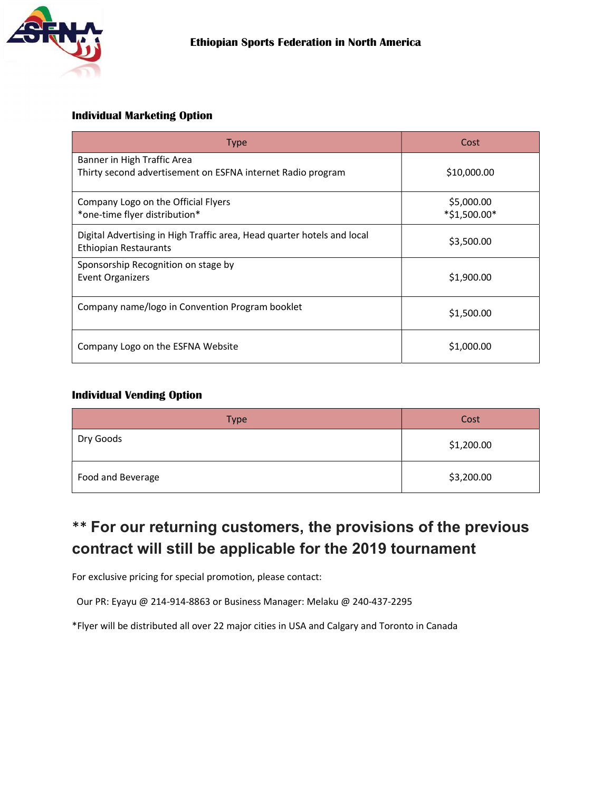

### Individual Marketing Option

| <b>Type</b>                                                                                      | Cost                       |  |
|--------------------------------------------------------------------------------------------------|----------------------------|--|
| Banner in High Traffic Area<br>Thirty second advertisement on ESFNA internet Radio program       | \$10,000.00                |  |
| Company Logo on the Official Flyers<br>*one-time flyer distribution*                             | \$5,000.00<br>*\$1,500.00* |  |
| Digital Advertising in High Traffic area, Head quarter hotels and local<br>Ethiopian Restaurants | \$3,500.00                 |  |
| Sponsorship Recognition on stage by<br>Event Organizers                                          | \$1,900.00                 |  |
| Company name/logo in Convention Program booklet                                                  | \$1,500.00                 |  |
| Company Logo on the ESFNA Website                                                                | \$1,000.00                 |  |

### Individual Vending Option

| <b>Type</b>       | Cost       |  |
|-------------------|------------|--|
| Dry Goods         | \$1,200.00 |  |
| Food and Beverage | \$3,200.00 |  |

## \*\* For our returning customers, the provisions of the previous contract will still be applicable for the 2019 tournament

For exclusive pricing for special promotion, please contact:

Our PR: Eyayu @ 214-914-8863 or Business Manager: Melaku @ 240-437-2295

\*Flyer will be distributed all over 22 major cities in USA and Calgary and Toronto in Canada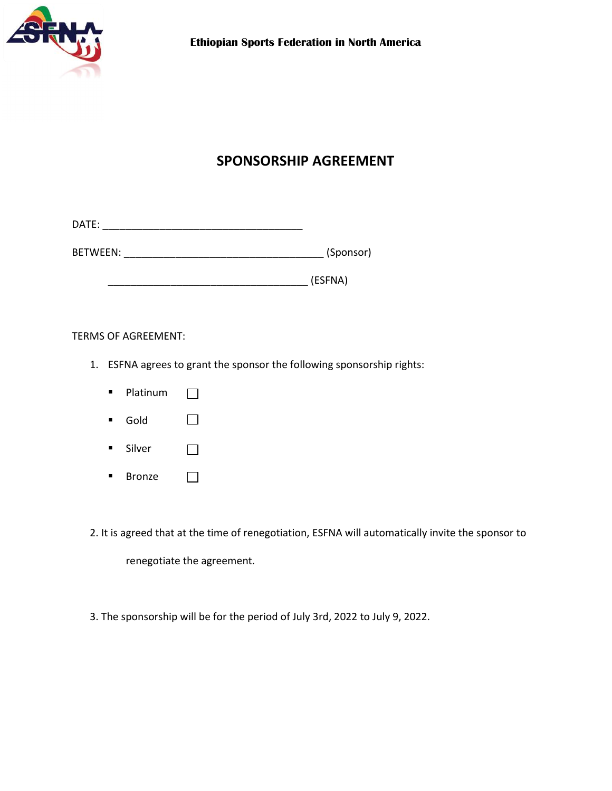

### SPONSORSHIP AGREEMENT

| DATI |  |  |  |
|------|--|--|--|
| .    |  |  |  |

BETWEEN: \_\_\_\_\_\_\_\_\_\_\_\_\_\_\_\_\_\_\_\_\_\_\_\_\_\_\_\_\_\_\_\_\_\_\_ (Sponsor)

 $(ESFNA)$ 

TERMS OF AGREEMENT:

- 1. ESFNA agrees to grant the sponsor the following sponsorship rights:
	- **Platinum**  $\Box$
	- Gold  $\Box$
	- **Silver**  $\Box$
	- **Bronze**

2. It is agreed that at the time of renegotiation, ESFNA will automatically invite the sponsor to

renegotiate the agreement.

 $\Box$ 

3. The sponsorship will be for the period of July 3rd, 2022 to July 9, 2022.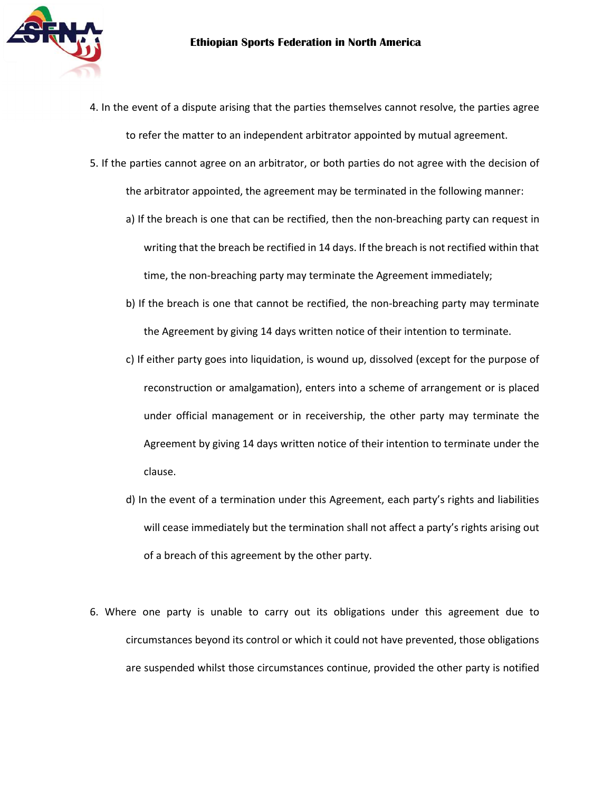

- 4. In the event of a dispute arising that the parties themselves cannot resolve, the parties agree to refer the matter to an independent arbitrator appointed by mutual agreement.
- 5. If the parties cannot agree on an arbitrator, or both parties do not agree with the decision of the arbitrator appointed, the agreement may be terminated in the following manner:
	- a) If the breach is one that can be rectified, then the non-breaching party can request in writing that the breach be rectified in 14 days. If the breach is not rectified within that time, the non-breaching party may terminate the Agreement immediately;
	- b) If the breach is one that cannot be rectified, the non-breaching party may terminate the Agreement by giving 14 days written notice of their intention to terminate.
	- c) If either party goes into liquidation, is wound up, dissolved (except for the purpose of reconstruction or amalgamation), enters into a scheme of arrangement or is placed under official management or in receivership, the other party may terminate the Agreement by giving 14 days written notice of their intention to terminate under the clause.
	- d) In the event of a termination under this Agreement, each party's rights and liabilities will cease immediately but the termination shall not affect a party's rights arising out of a breach of this agreement by the other party.
- 6. Where one party is unable to carry out its obligations under this agreement due to circumstances beyond its control or which it could not have prevented, those obligations are suspended whilst those circumstances continue, provided the other party is notified